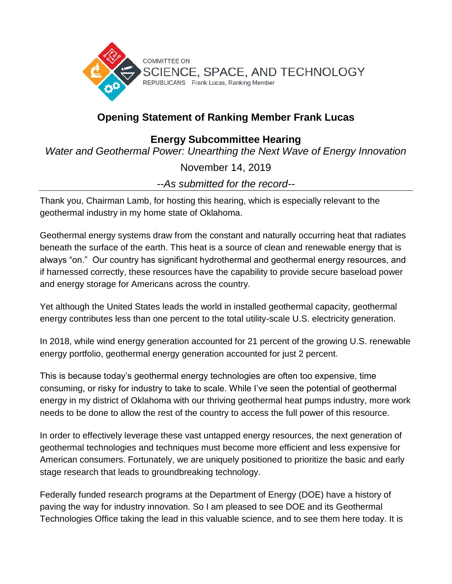

## **Opening Statement of Ranking Member Frank Lucas**

## **Energy Subcommittee Hearing**

*Water and Geothermal Power: Unearthing the Next Wave of Energy Innovation*

November 14, 2019

*--As submitted for the record--*

Thank you, Chairman Lamb, for hosting this hearing, which is especially relevant to the geothermal industry in my home state of Oklahoma.

Geothermal energy systems draw from the constant and naturally occurring heat that radiates beneath the surface of the earth. This heat is a source of clean and renewable energy that is always "on." Our country has significant hydrothermal and geothermal energy resources, and if harnessed correctly, these resources have the capability to provide secure baseload power and energy storage for Americans across the country.

Yet although the United States leads the world in installed geothermal capacity, geothermal energy contributes less than one percent to the total utility-scale U.S. electricity generation.

In 2018, while wind energy generation accounted for 21 percent of the growing U.S. renewable energy portfolio, geothermal energy generation accounted for just 2 percent.

This is because today's geothermal energy technologies are often too expensive, time consuming, or risky for industry to take to scale. While I've seen the potential of geothermal energy in my district of Oklahoma with our thriving geothermal heat pumps industry, more work needs to be done to allow the rest of the country to access the full power of this resource.

In order to effectively leverage these vast untapped energy resources, the next generation of geothermal technologies and techniques must become more efficient and less expensive for American consumers. Fortunately, we are uniquely positioned to prioritize the basic and early stage research that leads to groundbreaking technology.

Federally funded research programs at the Department of Energy (DOE) have a history of paving the way for industry innovation. So I am pleased to see DOE and its Geothermal Technologies Office taking the lead in this valuable science, and to see them here today. It is